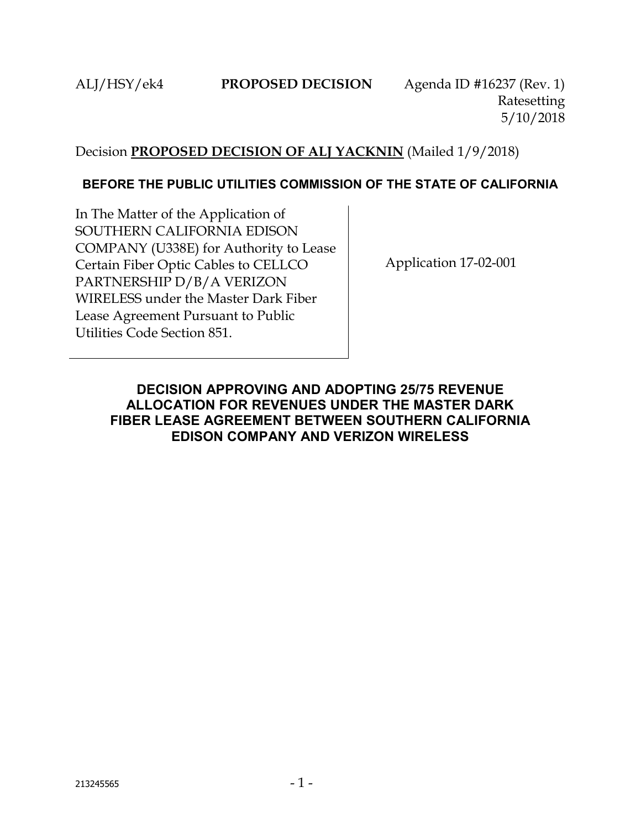# Decision **PROPOSED DECISION OF ALJ YACKNIN** (Mailed 1/9/2018)

# **BEFORE THE PUBLIC UTILITIES COMMISSION OF THE STATE OF CALIFORNIA**

In The Matter of the Application of SOUTHERN CALIFORNIA EDISON COMPANY (U338E) for Authority to Lease Certain Fiber Optic Cables to CELLCO PARTNERSHIP D/B/A VERIZON WIRELESS under the Master Dark Fiber Lease Agreement Pursuant to Public Utilities Code Section 851.

Application 17-02-001

# <span id="page-0-0"></span>**DECISION APPROVING AND ADOPTING 25/75 REVENUE ALLOCATION FOR REVENUES UNDER THE MASTER DARK FIBER LEASE AGREEMENT BETWEEN SOUTHERN CALIFORNIA EDISON COMPANY AND VERIZON WIRELESS**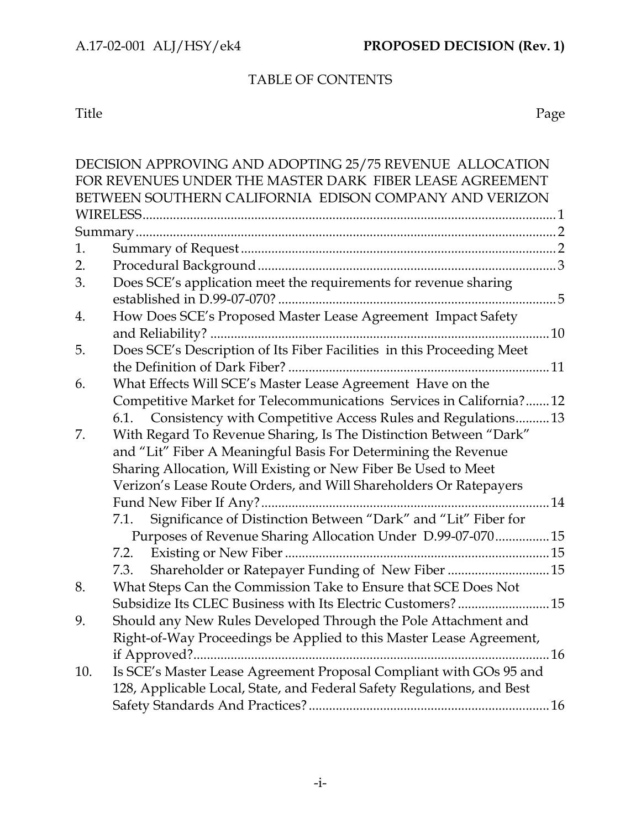# TABLE OF CONTENTS

Title Page

|     | DECISION APPROVING AND ADOPTING 25/75 REVENUE ALLOCATION               |  |  |  |
|-----|------------------------------------------------------------------------|--|--|--|
|     | FOR REVENUES UNDER THE MASTER DARK FIBER LEASE AGREEMENT               |  |  |  |
|     | BETWEEN SOUTHERN CALIFORNIA EDISON COMPANY AND VERIZON                 |  |  |  |
|     |                                                                        |  |  |  |
|     |                                                                        |  |  |  |
| 1.  |                                                                        |  |  |  |
| 2.  |                                                                        |  |  |  |
| 3.  | Does SCE's application meet the requirements for revenue sharing       |  |  |  |
|     |                                                                        |  |  |  |
| 4.  | How Does SCE's Proposed Master Lease Agreement Impact Safety           |  |  |  |
|     | 10                                                                     |  |  |  |
| 5.  | Does SCE's Description of Its Fiber Facilities in this Proceeding Meet |  |  |  |
|     |                                                                        |  |  |  |
| 6.  | What Effects Will SCE's Master Lease Agreement Have on the             |  |  |  |
|     | Competitive Market for Telecommunications Services in California?12    |  |  |  |
|     | 6.1. Consistency with Competitive Access Rules and Regulations13       |  |  |  |
| 7.  | With Regard To Revenue Sharing, Is The Distinction Between "Dark"      |  |  |  |
|     | and "Lit" Fiber A Meaningful Basis For Determining the Revenue         |  |  |  |
|     | Sharing Allocation, Will Existing or New Fiber Be Used to Meet         |  |  |  |
|     | Verizon's Lease Route Orders, and Will Shareholders Or Ratepayers      |  |  |  |
|     | $\dots$ 14                                                             |  |  |  |
|     | Significance of Distinction Between "Dark" and "Lit" Fiber for<br>7.1. |  |  |  |
|     | Purposes of Revenue Sharing Allocation Under D.99-07-070 15            |  |  |  |
|     |                                                                        |  |  |  |
|     | Shareholder or Ratepayer Funding of New Fiber  15<br>7.3.              |  |  |  |
| 8.  | What Steps Can the Commission Take to Ensure that SCE Does Not         |  |  |  |
|     | Subsidize Its CLEC Business with Its Electric Customers? 15            |  |  |  |
| 9   | Should any New Rules Developed Through the Pole Attachment and         |  |  |  |
|     | Right-of-Way Proceedings be Applied to this Master Lease Agreement,    |  |  |  |
|     | .16<br>if Approved?                                                    |  |  |  |
| 10. | Is SCE's Master Lease Agreement Proposal Compliant with GOs 95 and     |  |  |  |
|     | 128, Applicable Local, State, and Federal Safety Regulations, and Best |  |  |  |
|     |                                                                        |  |  |  |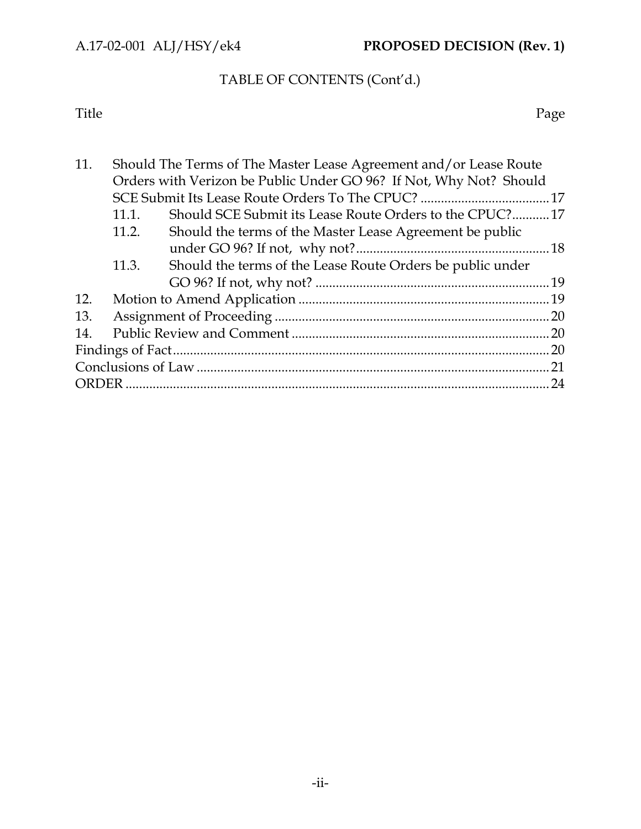# TABLE OF CONTENTS (Cont'd.)

Title Page

| 11. | Should The Terms of The Master Lease Agreement and/or Lease Route  |                                                            |  |  |
|-----|--------------------------------------------------------------------|------------------------------------------------------------|--|--|
|     | Orders with Verizon be Public Under GO 96? If Not, Why Not? Should |                                                            |  |  |
|     |                                                                    |                                                            |  |  |
|     | 11.1.                                                              | Should SCE Submit its Lease Route Orders to the CPUC?17    |  |  |
|     | 11.2.                                                              | Should the terms of the Master Lease Agreement be public   |  |  |
|     |                                                                    |                                                            |  |  |
|     | 11.3.                                                              | Should the terms of the Lease Route Orders be public under |  |  |
|     |                                                                    |                                                            |  |  |
| 12. |                                                                    |                                                            |  |  |
| 13. |                                                                    |                                                            |  |  |
| 14. |                                                                    |                                                            |  |  |
|     |                                                                    |                                                            |  |  |
|     |                                                                    |                                                            |  |  |
|     |                                                                    |                                                            |  |  |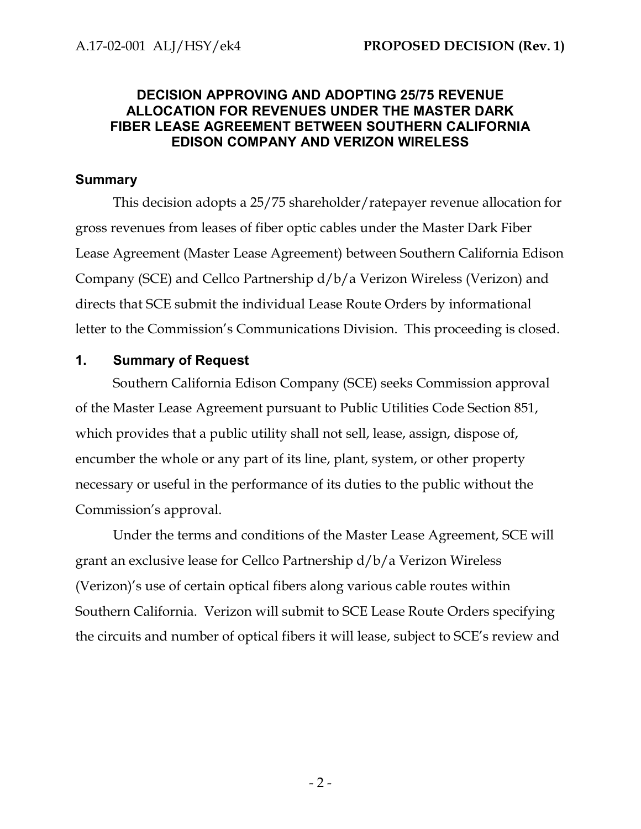# **DECISION APPROVING AND ADOPTING 25/75 REVENUE ALLOCATION FOR REVENUES UNDER THE MASTER DARK FIBER LEASE AGREEMENT BETWEEN SOUTHERN CALIFORNIA EDISON COMPANY AND VERIZON WIRELESS**

#### <span id="page-3-0"></span>**Summary**

This decision adopts a 25/75 shareholder/ratepayer revenue allocation for gross revenues from leases of fiber optic cables under the Master Dark Fiber Lease Agreement (Master Lease Agreement) between Southern California Edison Company (SCE) and Cellco Partnership d/b/a Verizon Wireless (Verizon) and directs that SCE submit the individual Lease Route Orders by informational letter to the Commission's Communications Division. This proceeding is closed.

#### <span id="page-3-1"></span>**1. Summary of Request**

Southern California Edison Company (SCE) seeks Commission approval of the Master Lease Agreement pursuant to Public Utilities Code Section 851, which provides that a public utility shall not sell, lease, assign, dispose of, encumber the whole or any part of its line, plant, system, or other property necessary or useful in the performance of its duties to the public without the Commission's approval.

Under the terms and conditions of the Master Lease Agreement, SCE will grant an exclusive lease for Cellco Partnership d/b/a Verizon Wireless (Verizon)'s use of certain optical fibers along various cable routes within Southern California. Verizon will submit to SCE Lease Route Orders specifying the circuits and number of optical fibers it will lease, subject to SCE's review and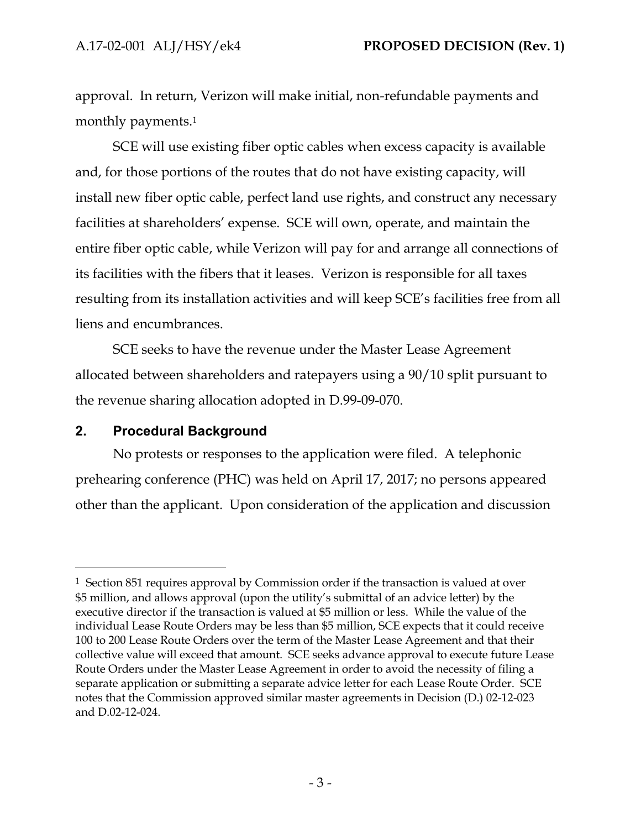approval. In return, Verizon will make initial, non-refundable payments and monthly payments.<sup>1</sup>

SCE will use existing fiber optic cables when excess capacity is available and, for those portions of the routes that do not have existing capacity, will install new fiber optic cable, perfect land use rights, and construct any necessary facilities at shareholders' expense. SCE will own, operate, and maintain the entire fiber optic cable, while Verizon will pay for and arrange all connections of its facilities with the fibers that it leases. Verizon is responsible for all taxes resulting from its installation activities and will keep SCE's facilities free from all liens and encumbrances.

SCE seeks to have the revenue under the Master Lease Agreement allocated between shareholders and ratepayers using a 90/10 split pursuant to the revenue sharing allocation adopted in D.99-09-070.

#### <span id="page-4-0"></span>**2. Procedural Background**

 $\overline{a}$ 

No protests or responses to the application were filed. A telephonic prehearing conference (PHC) was held on April 17, 2017; no persons appeared other than the applicant. Upon consideration of the application and discussion

<sup>1</sup> Section 851 requires approval by Commission order if the transaction is valued at over \$5 million, and allows approval (upon the utility's submittal of an advice letter) by the executive director if the transaction is valued at \$5 million or less. While the value of the individual Lease Route Orders may be less than \$5 million, SCE expects that it could receive 100 to 200 Lease Route Orders over the term of the Master Lease Agreement and that their collective value will exceed that amount. SCE seeks advance approval to execute future Lease Route Orders under the Master Lease Agreement in order to avoid the necessity of filing a separate application or submitting a separate advice letter for each Lease Route Order. SCE notes that the Commission approved similar master agreements in Decision (D.) 02-12-023 and D.02-12-024.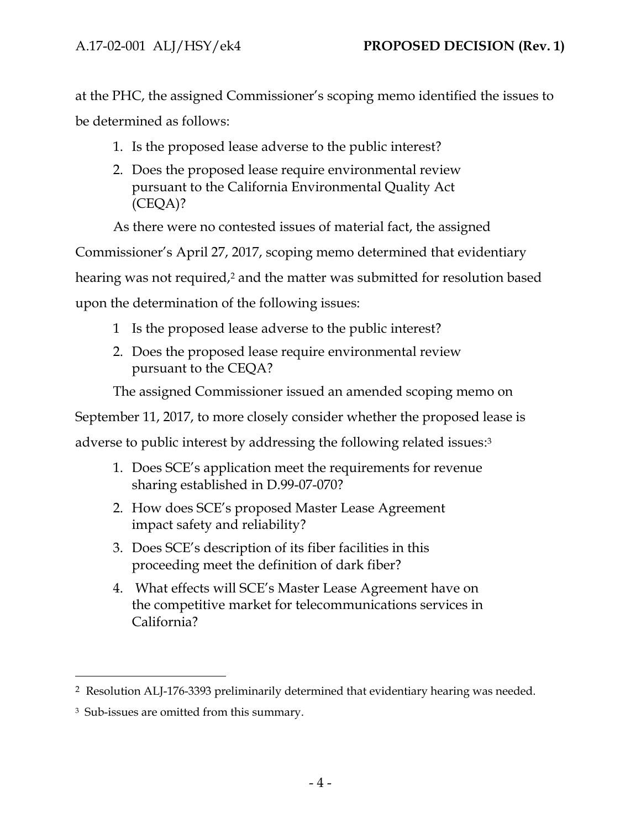at the PHC, the assigned Commissioner's scoping memo identified the issues to be determined as follows:

- 1. Is the proposed lease adverse to the public interest?
- 2. Does the proposed lease require environmental review pursuant to the California Environmental Quality Act (CEQA)?

As there were no contested issues of material fact, the assigned

Commissioner's April 27, 2017, scoping memo determined that evidentiary

hearing was not required,<sup>2</sup> and the matter was submitted for resolution based

upon the determination of the following issues:

- 1 Is the proposed lease adverse to the public interest?
- 2. Does the proposed lease require environmental review pursuant to the CEQA?

The assigned Commissioner issued an amended scoping memo on

September 11, 2017, to more closely consider whether the proposed lease is

adverse to public interest by addressing the following related issues: 3

- 1. Does SCE's application meet the requirements for revenue sharing established in D.99-07-070?
- 2. How does SCE's proposed Master Lease Agreement impact safety and reliability?
- 3. Does SCE's description of its fiber facilities in this proceeding meet the definition of dark fiber?
- 4. What effects will SCE's Master Lease Agreement have on the competitive market for telecommunications services in California?

 $\overline{a}$ 

<sup>2</sup> Resolution ALJ-176-3393 preliminarily determined that evidentiary hearing was needed.

<sup>3</sup> Sub-issues are omitted from this summary.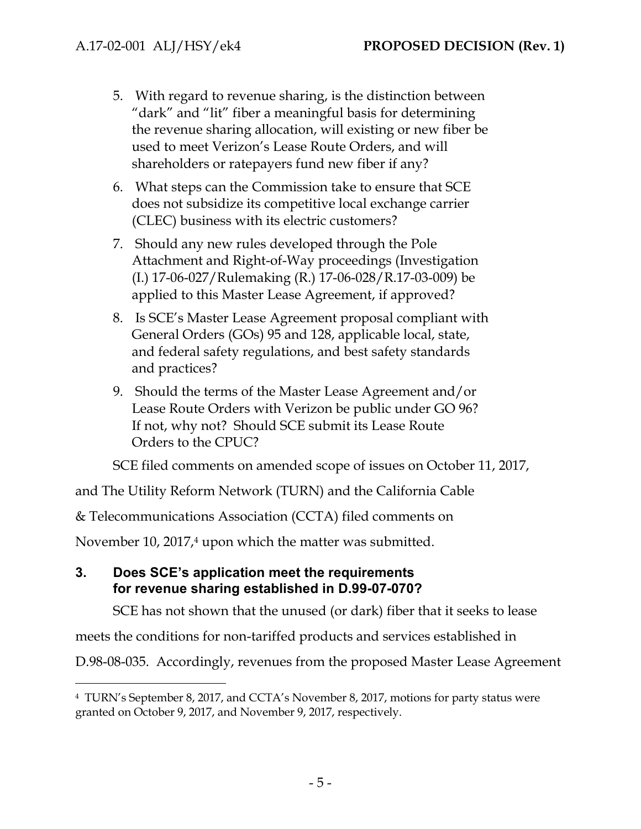- 5. With regard to revenue sharing, is the distinction between "dark" and "lit" fiber a meaningful basis for determining the revenue sharing allocation, will existing or new fiber be used to meet Verizon's Lease Route Orders, and will shareholders or ratepayers fund new fiber if any?
- 6. What steps can the Commission take to ensure that SCE does not subsidize its competitive local exchange carrier (CLEC) business with its electric customers?
- 7. Should any new rules developed through the Pole Attachment and Right-of-Way proceedings (Investigation (I.) 17-06-027/Rulemaking (R.) 17-06-028/R.17-03-009) be applied to this Master Lease Agreement, if approved?
- 8. Is SCE's Master Lease Agreement proposal compliant with General Orders (GOs) 95 and 128, applicable local, state, and federal safety regulations, and best safety standards and practices?
- 9. Should the terms of the Master Lease Agreement and/or Lease Route Orders with Verizon be public under GO 96? If not, why not? Should SCE submit its Lease Route Orders to the CPUC?

SCE filed comments on amended scope of issues on October 11, 2017,

and The Utility Reform Network (TURN) and the California Cable

& Telecommunications Association (CCTA) filed comments on

November 10, 2017,<sup>4</sup> upon which the matter was submitted.

# <span id="page-6-0"></span>**3. Does SCE's application meet the requirements for revenue sharing established in D.99-07-070?**

 $\overline{a}$ 

SCE has not shown that the unused (or dark) fiber that it seeks to lease

meets the conditions for non-tariffed products and services established in

D.98-08-035. Accordingly, revenues from the proposed Master Lease Agreement

<sup>4</sup> TURN's September 8, 2017, and CCTA's November 8, 2017, motions for party status were granted on October 9, 2017, and November 9, 2017, respectively.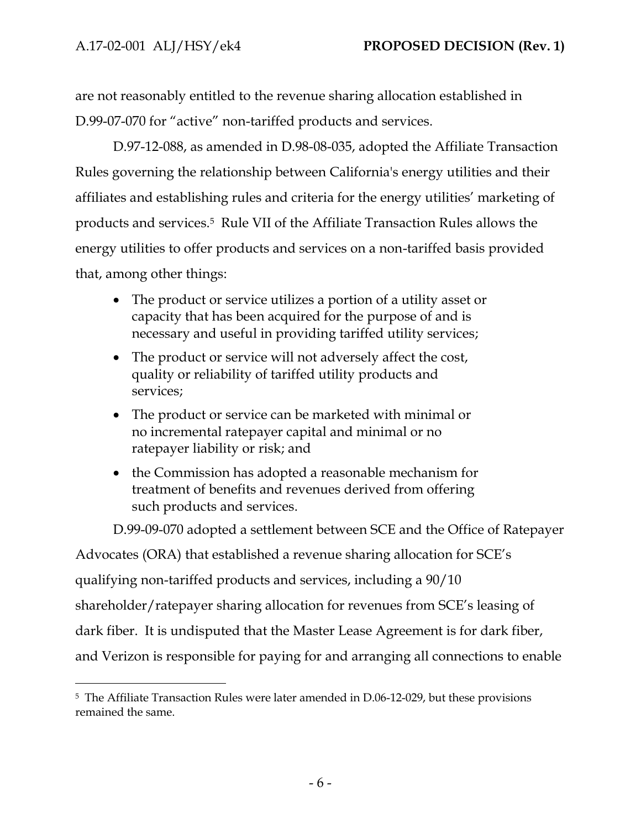$\overline{a}$ 

are not reasonably entitled to the revenue sharing allocation established in D.99-07-070 for "active" non-tariffed products and services.

D.97-12-088, as amended in D.98-08-035, adopted the Affiliate Transaction Rules governing the relationship between California's energy utilities and their affiliates and establishing rules and criteria for the energy utilities' marketing of products and services.5 Rule VII of the Affiliate Transaction Rules allows the energy utilities to offer products and services on a non-tariffed basis provided that, among other things:

- The product or service utilizes a portion of a utility asset or capacity that has been acquired for the purpose of and is necessary and useful in providing tariffed utility services;
- The product or service will not adversely affect the cost, quality or reliability of tariffed utility products and services;
- The product or service can be marketed with minimal or no incremental ratepayer capital and minimal or no ratepayer liability or risk; and
- the Commission has adopted a reasonable mechanism for treatment of benefits and revenues derived from offering such products and services.

D.99-09-070 adopted a settlement between SCE and the Office of Ratepayer

Advocates (ORA) that established a revenue sharing allocation for SCE's qualifying non-tariffed products and services, including a 90/10 shareholder/ratepayer sharing allocation for revenues from SCE's leasing of dark fiber. It is undisputed that the Master Lease Agreement is for dark fiber, and Verizon is responsible for paying for and arranging all connections to enable

<sup>5</sup> The Affiliate Transaction Rules were later amended in D.06-12-029, but these provisions remained the same.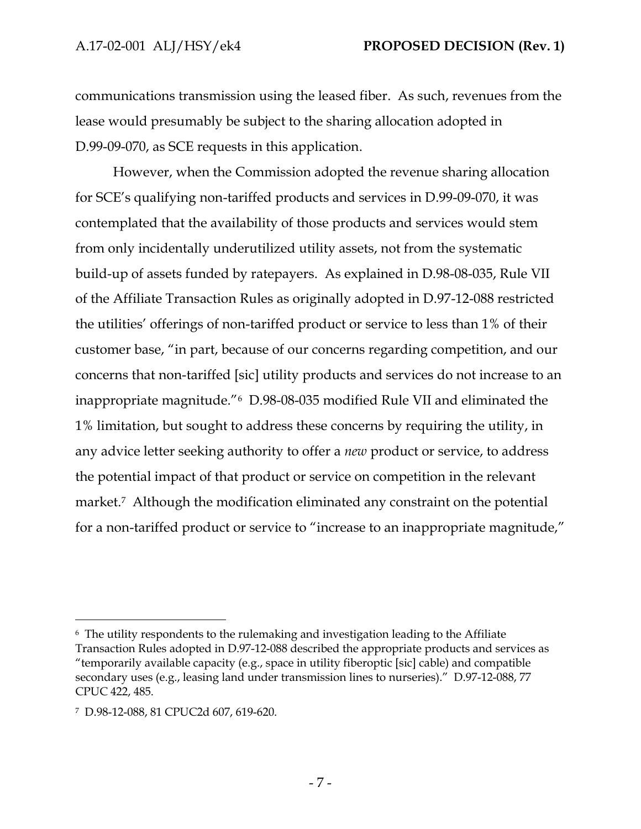communications transmission using the leased fiber. As such, revenues from the lease would presumably be subject to the sharing allocation adopted in D.99-09-070, as SCE requests in this application.

However, when the Commission adopted the revenue sharing allocation for SCE's qualifying non-tariffed products and services in D.99-09-070, it was contemplated that the availability of those products and services would stem from only incidentally underutilized utility assets, not from the systematic build-up of assets funded by ratepayers. As explained in D.98-08-035, Rule VII of the Affiliate Transaction Rules as originally adopted in D.97-12-088 restricted the utilities' offerings of non-tariffed product or service to less than 1% of their customer base, "in part, because of our concerns regarding competition, and our concerns that non-tariffed [sic] utility products and services do not increase to an inappropriate magnitude."6 D.98-08-035 modified Rule VII and eliminated the 1% limitation, but sought to address these concerns by requiring the utility, in any advice letter seeking authority to offer a *new* product or service, to address the potential impact of that product or service on competition in the relevant market.<sup>7</sup> Although the modification eliminated any constraint on the potential for a non-tariffed product or service to "increase to an inappropriate magnitude,"

 $\overline{a}$ 

<sup>6</sup> The utility respondents to the rulemaking and investigation leading to the Affiliate Transaction Rules adopted in D.97-12-088 described the appropriate products and services as "temporarily available capacity (e.g., space in utility fiberoptic [sic] cable) and compatible secondary uses (e.g., leasing land under transmission lines to nurseries)." D.97-12-088, 77 CPUC 422, 485.

<sup>7</sup> D.98-12-088, 81 CPUC2d 607, 619-620.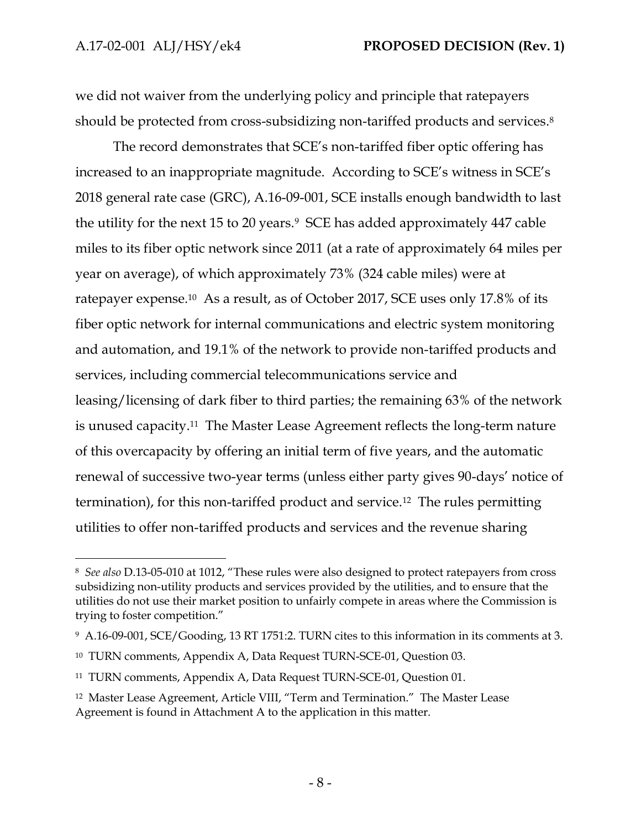$\overline{a}$ 

we did not waiver from the underlying policy and principle that ratepayers should be protected from cross-subsidizing non-tariffed products and services. 8

The record demonstrates that SCE's non-tariffed fiber optic offering has increased to an inappropriate magnitude. According to SCE's witness in SCE's 2018 general rate case (GRC), A.16-09-001, SCE installs enough bandwidth to last the utility for the next 15 to 20 years.9 SCE has added approximately 447 cable miles to its fiber optic network since 2011 (at a rate of approximately 64 miles per year on average), of which approximately 73% (324 cable miles) were at ratepayer expense.10 As a result, as of October 2017, SCE uses only 17.8% of its fiber optic network for internal communications and electric system monitoring and automation, and 19.1% of the network to provide non-tariffed products and services, including commercial telecommunications service and leasing/licensing of dark fiber to third parties; the remaining 63% of the network is unused capacity.11 The Master Lease Agreement reflects the long-term nature of this overcapacity by offering an initial term of five years, and the automatic renewal of successive two-year terms (unless either party gives 90-days' notice of termination), for this non-tariffed product and service.12 The rules permitting utilities to offer non-tariffed products and services and the revenue sharing

<sup>8</sup> *See also* D.13-05-010 at 1012, "These rules were also designed to protect ratepayers from cross subsidizing non-utility products and services provided by the utilities, and to ensure that the utilities do not use their market position to unfairly compete in areas where the Commission is trying to foster competition."

<sup>9</sup> A.16-09-001, SCE/Gooding, 13 RT 1751:2. TURN cites to this information in its comments at 3.

<sup>10</sup> TURN comments, Appendix A, Data Request TURN-SCE-01, Question 03.

<sup>11</sup> TURN comments, Appendix A, Data Request TURN-SCE-01, Question 01.

<sup>12</sup> Master Lease Agreement, Article VIII, "Term and Termination." The Master Lease Agreement is found in Attachment A to the application in this matter.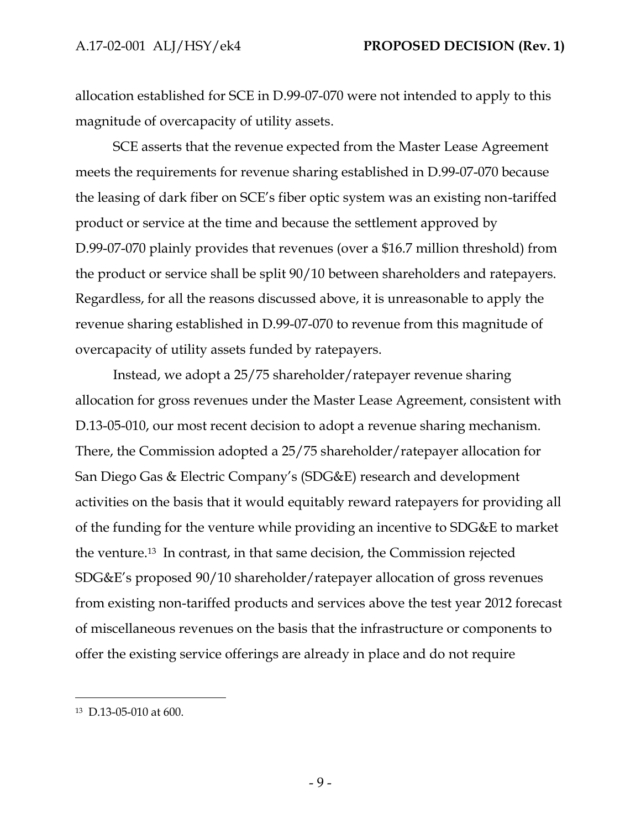allocation established for SCE in D.99-07-070 were not intended to apply to this magnitude of overcapacity of utility assets.

SCE asserts that the revenue expected from the Master Lease Agreement meets the requirements for revenue sharing established in D.99-07-070 because the leasing of dark fiber on SCE's fiber optic system was an existing non-tariffed product or service at the time and because the settlement approved by D.99-07-070 plainly provides that revenues (over a \$16.7 million threshold) from the product or service shall be split 90/10 between shareholders and ratepayers. Regardless, for all the reasons discussed above, it is unreasonable to apply the revenue sharing established in D.99-07-070 to revenue from this magnitude of overcapacity of utility assets funded by ratepayers.

Instead, we adopt a 25/75 shareholder/ratepayer revenue sharing allocation for gross revenues under the Master Lease Agreement, consistent with D.13-05-010, our most recent decision to adopt a revenue sharing mechanism. There, the Commission adopted a 25/75 shareholder/ratepayer allocation for San Diego Gas & Electric Company's (SDG&E) research and development activities on the basis that it would equitably reward ratepayers for providing all of the funding for the venture while providing an incentive to SDG&E to market the venture.13 In contrast, in that same decision, the Commission rejected SDG&E's proposed 90/10 shareholder/ratepayer allocation of gross revenues from existing non-tariffed products and services above the test year 2012 forecast of miscellaneous revenues on the basis that the infrastructure or components to offer the existing service offerings are already in place and do not require

 $\overline{a}$ 

<sup>13</sup> D.13-05-010 at 600.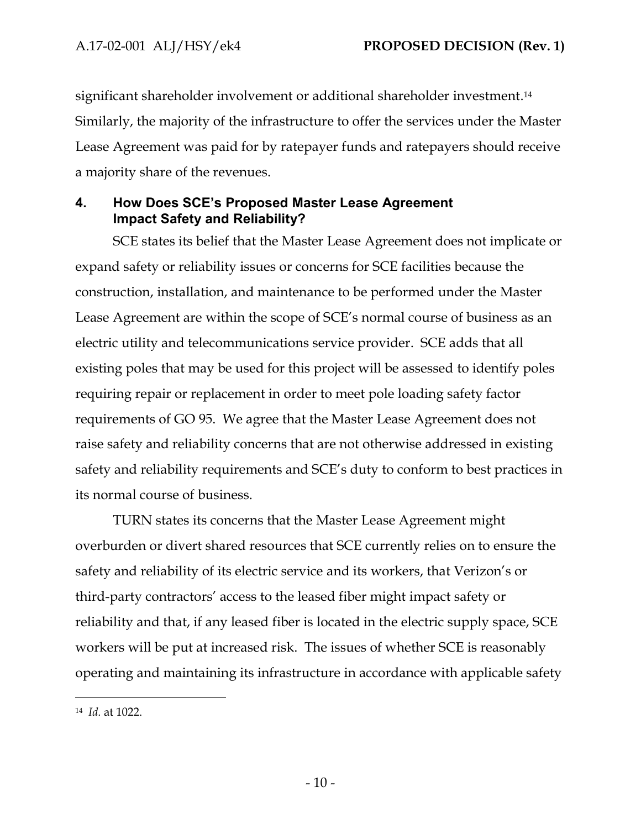significant shareholder involvement or additional shareholder investment. 14 Similarly, the majority of the infrastructure to offer the services under the Master Lease Agreement was paid for by ratepayer funds and ratepayers should receive a majority share of the revenues.

# <span id="page-11-0"></span>**4. How Does SCE's Proposed Master Lease Agreement Impact Safety and Reliability?**

SCE states its belief that the Master Lease Agreement does not implicate or expand safety or reliability issues or concerns for SCE facilities because the construction, installation, and maintenance to be performed under the Master Lease Agreement are within the scope of SCE's normal course of business as an electric utility and telecommunications service provider. SCE adds that all existing poles that may be used for this project will be assessed to identify poles requiring repair or replacement in order to meet pole loading safety factor requirements of GO 95. We agree that the Master Lease Agreement does not raise safety and reliability concerns that are not otherwise addressed in existing safety and reliability requirements and SCE's duty to conform to best practices in its normal course of business.

TURN states its concerns that the Master Lease Agreement might overburden or divert shared resources that SCE currently relies on to ensure the safety and reliability of its electric service and its workers, that Verizon's or third-party contractors' access to the leased fiber might impact safety or reliability and that, if any leased fiber is located in the electric supply space, SCE workers will be put at increased risk. The issues of whether SCE is reasonably operating and maintaining its infrastructure in accordance with applicable safety

 $\overline{a}$ 

<sup>14</sup> *Id.* at 1022.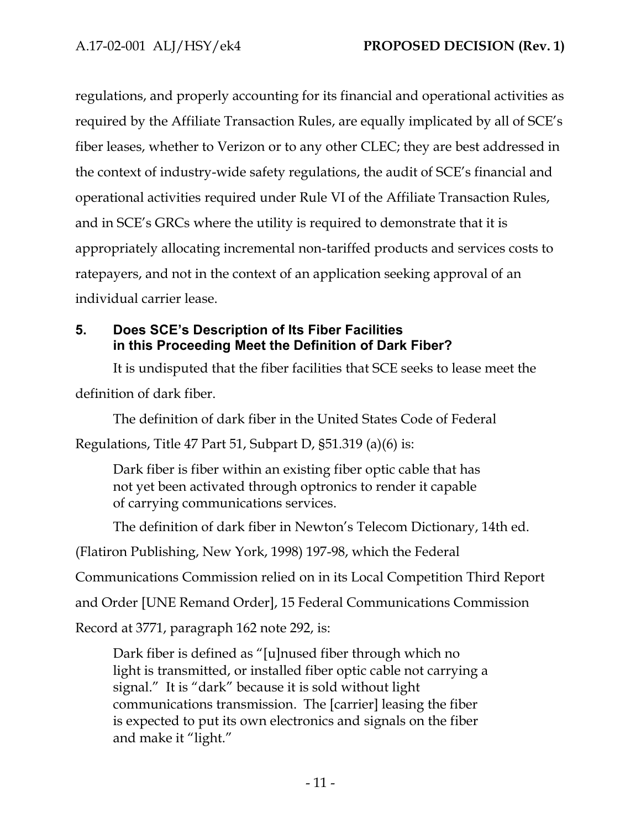regulations, and properly accounting for its financial and operational activities as required by the Affiliate Transaction Rules, are equally implicated by all of SCE's fiber leases, whether to Verizon or to any other CLEC; they are best addressed in the context of industry-wide safety regulations, the audit of SCE's financial and operational activities required under Rule VI of the Affiliate Transaction Rules, and in SCE's GRCs where the utility is required to demonstrate that it is appropriately allocating incremental non-tariffed products and services costs to ratepayers, and not in the context of an application seeking approval of an individual carrier lease.

# <span id="page-12-0"></span>**5. Does SCE's Description of Its Fiber Facilities in this Proceeding Meet the Definition of Dark Fiber?**

It is undisputed that the fiber facilities that SCE seeks to lease meet the definition of dark fiber.

The definition of dark fiber in the United States Code of Federal

Regulations, Title 47 Part 51, Subpart D, §51.319 (a)(6) is:

Dark fiber is fiber within an existing fiber optic cable that has not yet been activated through optronics to render it capable of carrying communications services.

The definition of dark fiber in Newton's Telecom Dictionary, 14th ed.

(Flatiron Publishing, New York, 1998) 197-98, which the Federal

Communications Commission relied on in its Local Competition Third Report

and Order [UNE Remand Order], 15 Federal Communications Commission

Record at 3771, paragraph 162 note 292, is:

Dark fiber is defined as "[u]nused fiber through which no light is transmitted, or installed fiber optic cable not carrying a signal." It is "dark" because it is sold without light communications transmission. The [carrier] leasing the fiber is expected to put its own electronics and signals on the fiber and make it "light."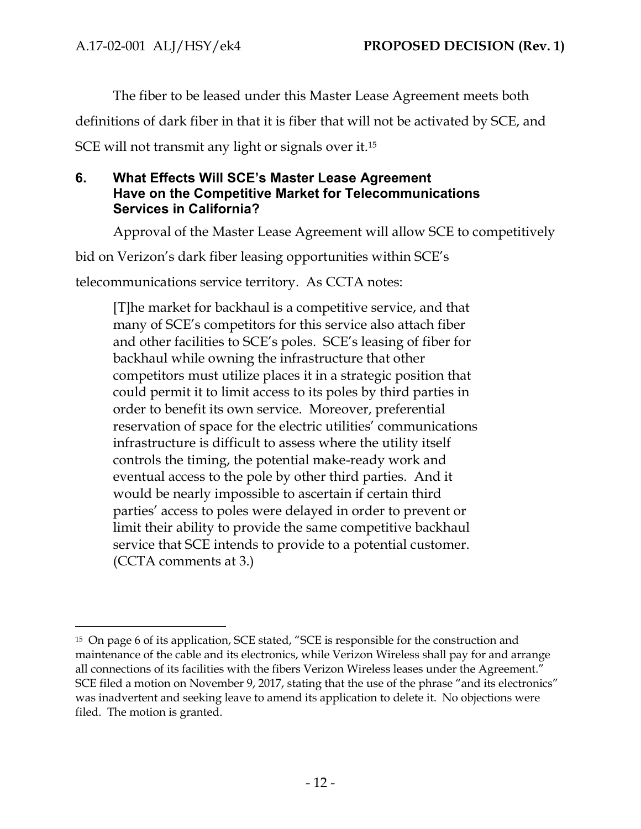The fiber to be leased under this Master Lease Agreement meets both

definitions of dark fiber in that it is fiber that will not be activated by SCE, and

SCE will not transmit any light or signals over it.<sup>15</sup>

# <span id="page-13-0"></span>**6. What Effects Will SCE's Master Lease Agreement Have on the Competitive Market for Telecommunications Services in California?**

Approval of the Master Lease Agreement will allow SCE to competitively

bid on Verizon's dark fiber leasing opportunities within SCE's

telecommunications service territory. As CCTA notes:

[T]he market for backhaul is a competitive service, and that many of SCE's competitors for this service also attach fiber and other facilities to SCE's poles. SCE's leasing of fiber for backhaul while owning the infrastructure that other competitors must utilize places it in a strategic position that could permit it to limit access to its poles by third parties in order to benefit its own service. Moreover, preferential reservation of space for the electric utilities' communications infrastructure is difficult to assess where the utility itself controls the timing, the potential make-ready work and eventual access to the pole by other third parties. And it would be nearly impossible to ascertain if certain third parties' access to poles were delayed in order to prevent or limit their ability to provide the same competitive backhaul service that SCE intends to provide to a potential customer. (CCTA comments at 3.)

 $\overline{a}$ <sup>15</sup> On page 6 of its application, SCE stated, "SCE is responsible for the construction and maintenance of the cable and its electronics, while Verizon Wireless shall pay for and arrange all connections of its facilities with the fibers Verizon Wireless leases under the Agreement." SCE filed a motion on November 9, 2017, stating that the use of the phrase "and its electronics" was inadvertent and seeking leave to amend its application to delete it. No objections were filed. The motion is granted.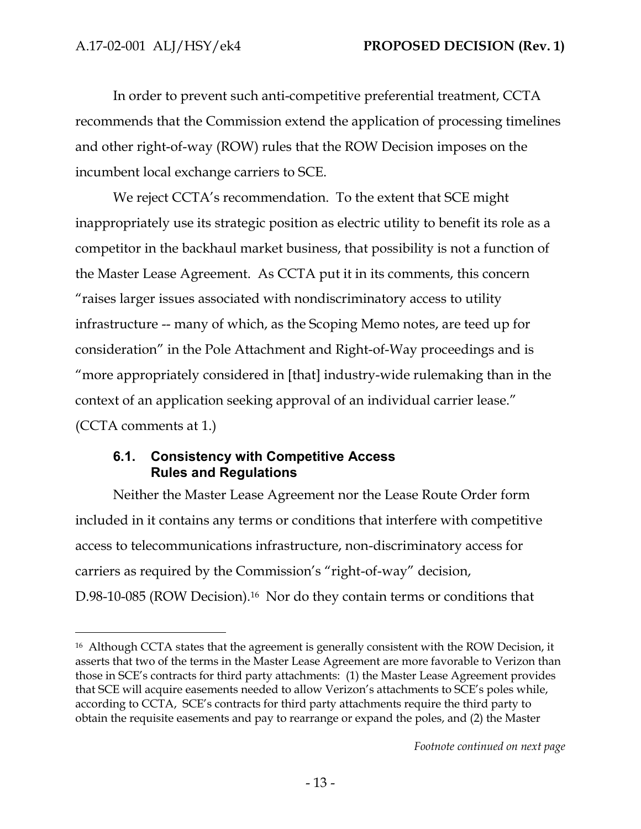$\overline{a}$ 

In order to prevent such anti-competitive preferential treatment, CCTA recommends that the Commission extend the application of processing timelines and other right-of-way (ROW) rules that the ROW Decision imposes on the incumbent local exchange carriers to SCE.

We reject CCTA's recommendation. To the extent that SCE might inappropriately use its strategic position as electric utility to benefit its role as a competitor in the backhaul market business, that possibility is not a function of the Master Lease Agreement. As CCTA put it in its comments, this concern "raises larger issues associated with nondiscriminatory access to utility infrastructure -- many of which, as the Scoping Memo notes, are teed up for consideration" in the Pole Attachment and Right-of-Way proceedings and is "more appropriately considered in [that] industry-wide rulemaking than in the context of an application seeking approval of an individual carrier lease." (CCTA comments at 1.)

# <span id="page-14-0"></span>**6.1. Consistency with Competitive Access Rules and Regulations**

Neither the Master Lease Agreement nor the Lease Route Order form included in it contains any terms or conditions that interfere with competitive access to telecommunications infrastructure, non-discriminatory access for carriers as required by the Commission's "right-of-way" decision, D.98-10-085 (ROW Decision).<sup>16</sup> Nor do they contain terms or conditions that

*Footnote continued on next page*

<sup>&</sup>lt;sup>16</sup> Although CCTA states that the agreement is generally consistent with the ROW Decision, it asserts that two of the terms in the Master Lease Agreement are more favorable to Verizon than those in SCE's contracts for third party attachments: (1) the Master Lease Agreement provides that SCE will acquire easements needed to allow Verizon's attachments to SCE's poles while, according to CCTA, SCE's contracts for third party attachments require the third party to obtain the requisite easements and pay to rearrange or expand the poles, and (2) the Master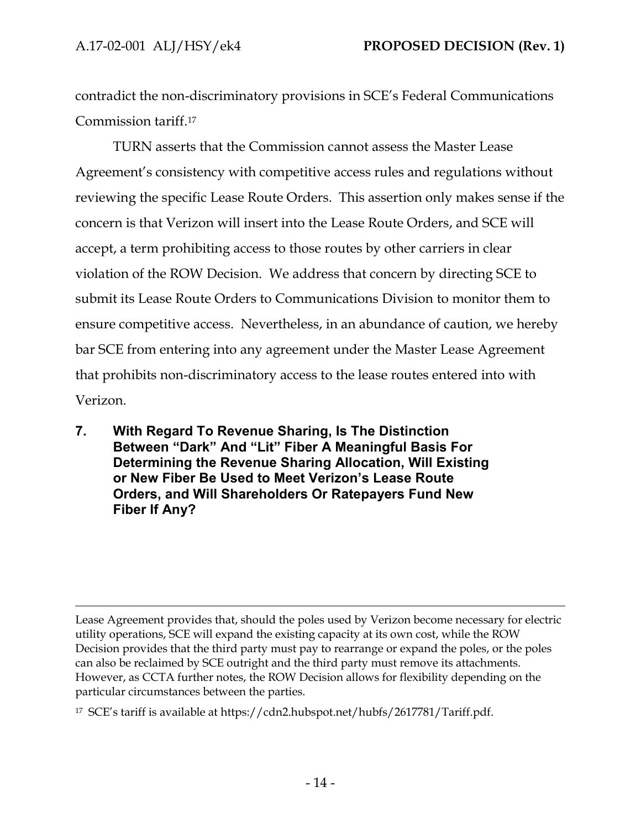$\overline{a}$ 

contradict the non-discriminatory provisions in SCE's Federal Communications Commission tariff.<sup>17</sup>

TURN asserts that the Commission cannot assess the Master Lease Agreement's consistency with competitive access rules and regulations without reviewing the specific Lease Route Orders. This assertion only makes sense if the concern is that Verizon will insert into the Lease Route Orders, and SCE will accept, a term prohibiting access to those routes by other carriers in clear violation of the ROW Decision. We address that concern by directing SCE to submit its Lease Route Orders to Communications Division to monitor them to ensure competitive access. Nevertheless, in an abundance of caution, we hereby bar SCE from entering into any agreement under the Master Lease Agreement that prohibits non-discriminatory access to the lease routes entered into with Verizon.

<span id="page-15-0"></span>**7. With Regard To Revenue Sharing, Is The Distinction Between "Dark" And "Lit" Fiber A Meaningful Basis For Determining the Revenue Sharing Allocation, Will Existing or New Fiber Be Used to Meet Verizon's Lease Route Orders, and Will Shareholders Or Ratepayers Fund New Fiber If Any?**

Lease Agreement provides that, should the poles used by Verizon become necessary for electric utility operations, SCE will expand the existing capacity at its own cost, while the ROW Decision provides that the third party must pay to rearrange or expand the poles, or the poles can also be reclaimed by SCE outright and the third party must remove its attachments. However, as CCTA further notes, the ROW Decision allows for flexibility depending on the particular circumstances between the parties.

<sup>17</sup> SCE's tariff is available at https://cdn2.hubspot.net/hubfs/2617781/Tariff.pdf.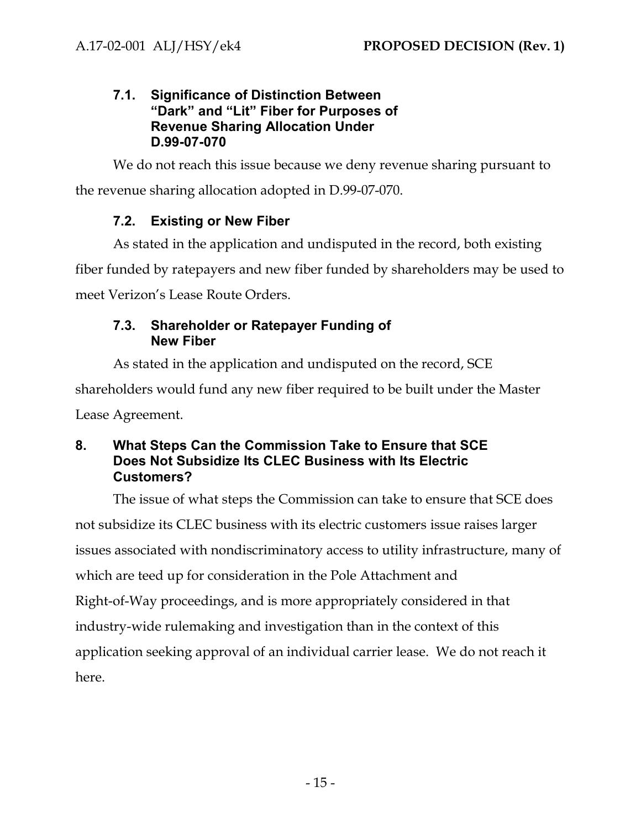# <span id="page-16-0"></span>**7.1. Significance of Distinction Between "Dark" and "Lit" Fiber for Purposes of Revenue Sharing Allocation Under D.99-07-070**

We do not reach this issue because we deny revenue sharing pursuant to the revenue sharing allocation adopted in D.99-07-070.

# **7.2. Existing or New Fiber**

<span id="page-16-1"></span>As stated in the application and undisputed in the record, both existing fiber funded by ratepayers and new fiber funded by shareholders may be used to meet Verizon's Lease Route Orders.

# <span id="page-16-2"></span>**7.3. Shareholder or Ratepayer Funding of New Fiber**

As stated in the application and undisputed on the record, SCE shareholders would fund any new fiber required to be built under the Master Lease Agreement.

# <span id="page-16-3"></span>**8. What Steps Can the Commission Take to Ensure that SCE Does Not Subsidize Its CLEC Business with Its Electric Customers?**

The issue of what steps the Commission can take to ensure that SCE does not subsidize its CLEC business with its electric customers issue raises larger issues associated with nondiscriminatory access to utility infrastructure, many of which are teed up for consideration in the Pole Attachment and Right-of-Way proceedings, and is more appropriately considered in that industry-wide rulemaking and investigation than in the context of this application seeking approval of an individual carrier lease. We do not reach it here.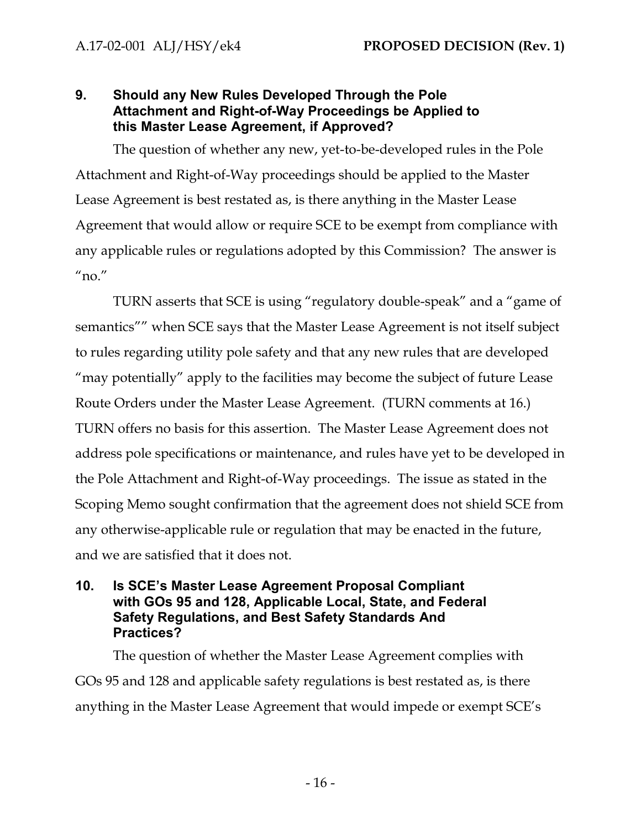# <span id="page-17-0"></span>**9. Should any New Rules Developed Through the Pole Attachment and Right-of-Way Proceedings be Applied to this Master Lease Agreement, if Approved?**

The question of whether any new, yet-to-be-developed rules in the Pole Attachment and Right-of-Way proceedings should be applied to the Master Lease Agreement is best restated as, is there anything in the Master Lease Agreement that would allow or require SCE to be exempt from compliance with any applicable rules or regulations adopted by this Commission? The answer is  $^{\prime\prime}$ no. $^{\prime\prime}$ 

TURN asserts that SCE is using "regulatory double-speak" and a "game of semantics"" when SCE says that the Master Lease Agreement is not itself subject to rules regarding utility pole safety and that any new rules that are developed "may potentially" apply to the facilities may become the subject of future Lease Route Orders under the Master Lease Agreement. (TURN comments at 16.) TURN offers no basis for this assertion. The Master Lease Agreement does not address pole specifications or maintenance, and rules have yet to be developed in the Pole Attachment and Right-of-Way proceedings. The issue as stated in the Scoping Memo sought confirmation that the agreement does not shield SCE from any otherwise-applicable rule or regulation that may be enacted in the future, and we are satisfied that it does not.

# <span id="page-17-1"></span>**10. Is SCE's Master Lease Agreement Proposal Compliant with GOs 95 and 128, Applicable Local, State, and Federal Safety Regulations, and Best Safety Standards And Practices?**

The question of whether the Master Lease Agreement complies with GOs 95 and 128 and applicable safety regulations is best restated as, is there anything in the Master Lease Agreement that would impede or exempt SCE's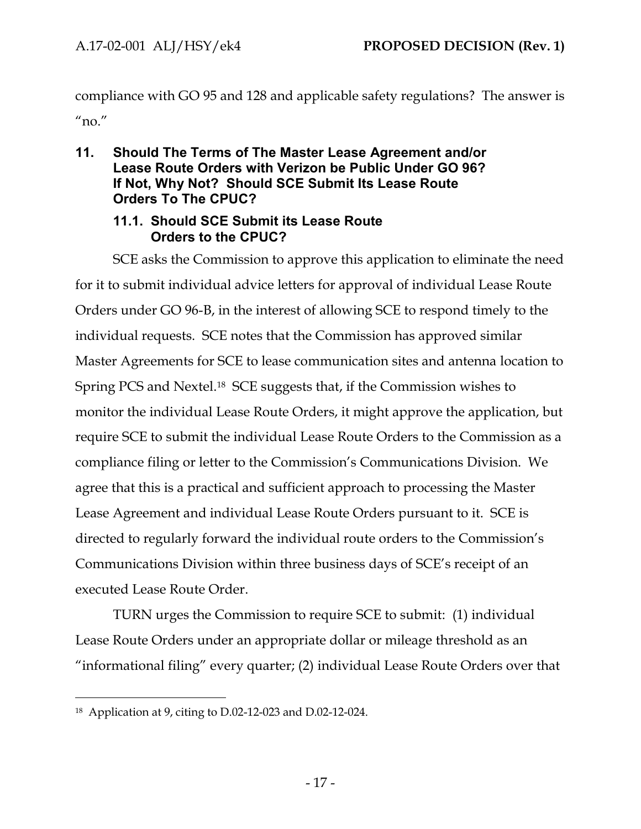compliance with GO 95 and 128 and applicable safety regulations? The answer is  $^{\prime\prime}$ no. $^{\prime\prime}$ 

# <span id="page-18-0"></span>**11. Should The Terms of The Master Lease Agreement and/or Lease Route Orders with Verizon be Public Under GO 96? If Not, Why Not? Should SCE Submit Its Lease Route Orders To The CPUC?**

#### **11.1. Should SCE Submit its Lease Route Orders to the CPUC?**

<span id="page-18-1"></span>SCE asks the Commission to approve this application to eliminate the need for it to submit individual advice letters for approval of individual Lease Route Orders under GO 96-B, in the interest of allowing SCE to respond timely to the individual requests. SCE notes that the Commission has approved similar Master Agreements for SCE to lease communication sites and antenna location to Spring PCS and Nextel.18 SCE suggests that, if the Commission wishes to monitor the individual Lease Route Orders, it might approve the application, but require SCE to submit the individual Lease Route Orders to the Commission as a compliance filing or letter to the Commission's Communications Division. We agree that this is a practical and sufficient approach to processing the Master Lease Agreement and individual Lease Route Orders pursuant to it. SCE is directed to regularly forward the individual route orders to the Commission's Communications Division within three business days of SCE's receipt of an executed Lease Route Order.

TURN urges the Commission to require SCE to submit: (1) individual Lease Route Orders under an appropriate dollar or mileage threshold as an "informational filing" every quarter; (2) individual Lease Route Orders over that

 $\overline{a}$ 

<sup>18</sup> Application at 9, citing to D.02-12-023 and D.02-12-024.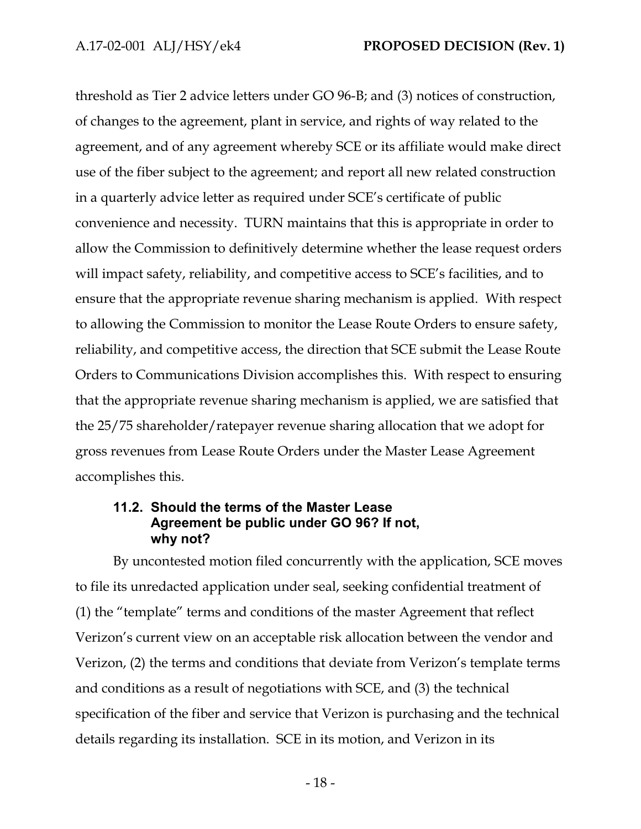threshold as Tier 2 advice letters under GO 96-B; and (3) notices of construction, of changes to the agreement, plant in service, and rights of way related to the agreement, and of any agreement whereby SCE or its affiliate would make direct use of the fiber subject to the agreement; and report all new related construction in a quarterly advice letter as required under SCE's certificate of public convenience and necessity. TURN maintains that this is appropriate in order to allow the Commission to definitively determine whether the lease request orders will impact safety, reliability, and competitive access to SCE's facilities, and to ensure that the appropriate revenue sharing mechanism is applied. With respect to allowing the Commission to monitor the Lease Route Orders to ensure safety, reliability, and competitive access, the direction that SCE submit the Lease Route Orders to Communications Division accomplishes this. With respect to ensuring that the appropriate revenue sharing mechanism is applied, we are satisfied that the 25/75 shareholder/ratepayer revenue sharing allocation that we adopt for gross revenues from Lease Route Orders under the Master Lease Agreement accomplishes this.

#### <span id="page-19-0"></span>**11.2. Should the terms of the Master Lease Agreement be public under GO 96? If not, why not?**

By uncontested motion filed concurrently with the application, SCE moves to file its unredacted application under seal, seeking confidential treatment of (1) the "template" terms and conditions of the master Agreement that reflect Verizon's current view on an acceptable risk allocation between the vendor and Verizon, (2) the terms and conditions that deviate from Verizon's template terms and conditions as a result of negotiations with SCE, and (3) the technical specification of the fiber and service that Verizon is purchasing and the technical details regarding its installation. SCE in its motion, and Verizon in its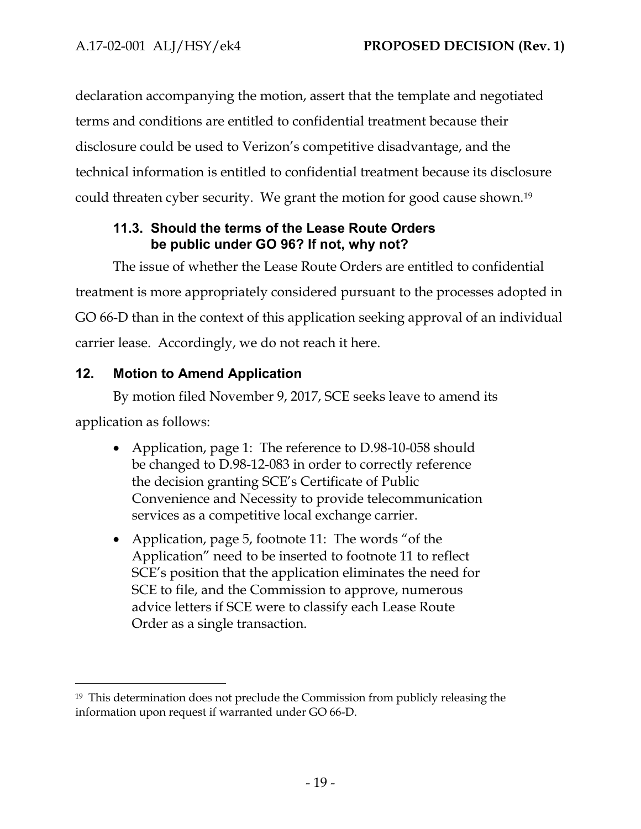declaration accompanying the motion, assert that the template and negotiated terms and conditions are entitled to confidential treatment because their disclosure could be used to Verizon's competitive disadvantage, and the technical information is entitled to confidential treatment because its disclosure could threaten cyber security. We grant the motion for good cause shown.<sup>19</sup>

# <span id="page-20-0"></span>**11.3. Should the terms of the Lease Route Orders be public under GO 96? If not, why not?**

The issue of whether the Lease Route Orders are entitled to confidential treatment is more appropriately considered pursuant to the processes adopted in GO 66-D than in the context of this application seeking approval of an individual carrier lease. Accordingly, we do not reach it here.

# <span id="page-20-1"></span>**12. Motion to Amend Application**

 $\overline{a}$ 

By motion filed November 9, 2017, SCE seeks leave to amend its application as follows:

- Application, page 1: The reference to D.98-10-058 should be changed to D.98-12-083 in order to correctly reference the decision granting SCE's Certificate of Public Convenience and Necessity to provide telecommunication services as a competitive local exchange carrier.
- Application, page 5, footnote 11: The words "of the Application" need to be inserted to footnote 11 to reflect SCE's position that the application eliminates the need for SCE to file, and the Commission to approve, numerous advice letters if SCE were to classify each Lease Route Order as a single transaction.

<sup>19</sup> This determination does not preclude the Commission from publicly releasing the information upon request if warranted under GO 66-D.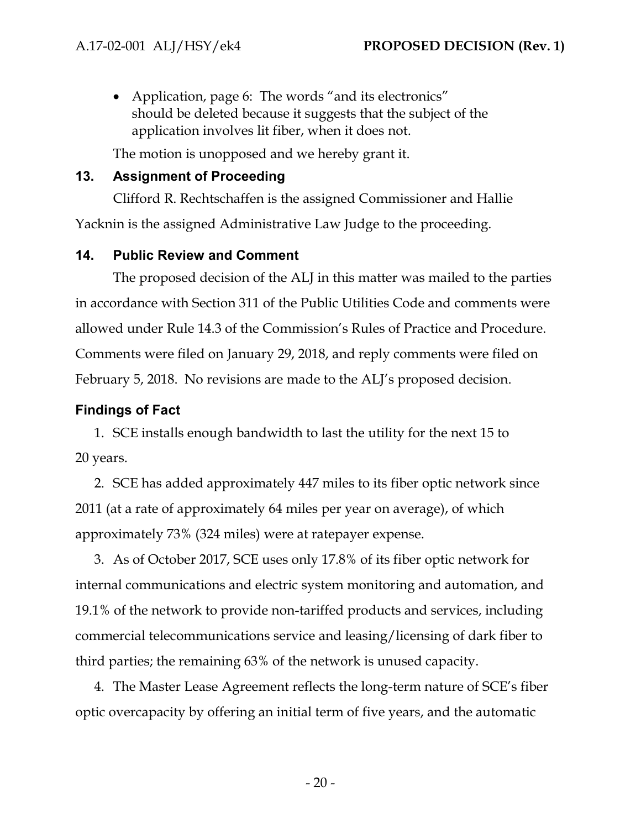• Application, page 6: The words "and its electronics" should be deleted because it suggests that the subject of the application involves lit fiber, when it does not.

The motion is unopposed and we hereby grant it.

# <span id="page-21-0"></span>**13. Assignment of Proceeding**

Clifford R. Rechtschaffen is the assigned Commissioner and Hallie Yacknin is the assigned Administrative Law Judge to the proceeding.

# <span id="page-21-1"></span>**14. Public Review and Comment**

The proposed decision of the ALJ in this matter was mailed to the parties in accordance with Section 311 of the Public Utilities Code and comments were allowed under Rule 14.3 of the Commission's Rules of Practice and Procedure. Comments were filed on January 29, 2018, and reply comments were filed on February 5, 2018. No revisions are made to the ALJ's proposed decision.

# <span id="page-21-2"></span>**Findings of Fact**

1. SCE installs enough bandwidth to last the utility for the next 15 to 20 years.

2. SCE has added approximately 447 miles to its fiber optic network since 2011 (at a rate of approximately 64 miles per year on average), of which approximately 73% (324 miles) were at ratepayer expense.

3. As of October 2017, SCE uses only 17.8% of its fiber optic network for internal communications and electric system monitoring and automation, and 19.1% of the network to provide non-tariffed products and services, including commercial telecommunications service and leasing/licensing of dark fiber to third parties; the remaining 63% of the network is unused capacity.

4. The Master Lease Agreement reflects the long-term nature of SCE's fiber optic overcapacity by offering an initial term of five years, and the automatic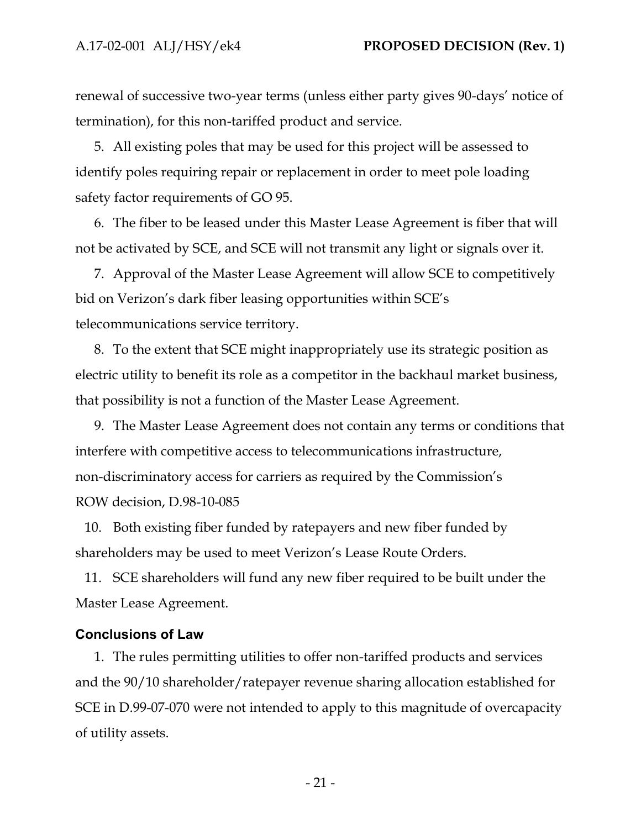renewal of successive two-year terms (unless either party gives 90-days' notice of termination), for this non-tariffed product and service.

5. All existing poles that may be used for this project will be assessed to identify poles requiring repair or replacement in order to meet pole loading safety factor requirements of GO 95.

6. The fiber to be leased under this Master Lease Agreement is fiber that will not be activated by SCE, and SCE will not transmit any light or signals over it.

7. Approval of the Master Lease Agreement will allow SCE to competitively bid on Verizon's dark fiber leasing opportunities within SCE's telecommunications service territory.

8. To the extent that SCE might inappropriately use its strategic position as electric utility to benefit its role as a competitor in the backhaul market business, that possibility is not a function of the Master Lease Agreement.

9. The Master Lease Agreement does not contain any terms or conditions that interfere with competitive access to telecommunications infrastructure, non-discriminatory access for carriers as required by the Commission's ROW decision, D.98-10-085

10. Both existing fiber funded by ratepayers and new fiber funded by shareholders may be used to meet Verizon's Lease Route Orders.

11. SCE shareholders will fund any new fiber required to be built under the Master Lease Agreement.

#### <span id="page-22-0"></span>**Conclusions of Law**

1. The rules permitting utilities to offer non-tariffed products and services and the 90/10 shareholder/ratepayer revenue sharing allocation established for SCE in D.99-07-070 were not intended to apply to this magnitude of overcapacity of utility assets.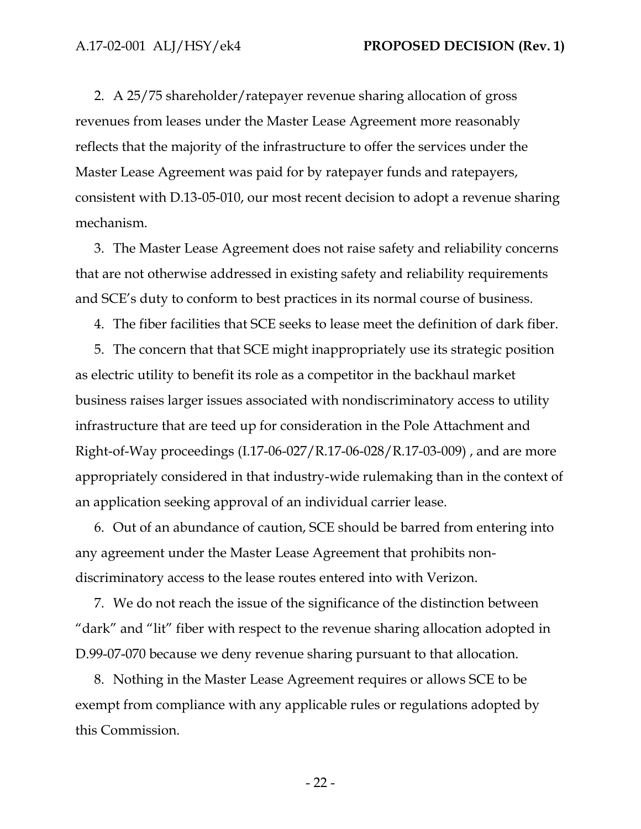2. A 25/75 shareholder/ratepayer revenue sharing allocation of gross revenues from leases under the Master Lease Agreement more reasonably reflects that the majority of the infrastructure to offer the services under the Master Lease Agreement was paid for by ratepayer funds and ratepayers, consistent with D.13-05-010, our most recent decision to adopt a revenue sharing mechanism.

3. The Master Lease Agreement does not raise safety and reliability concerns that are not otherwise addressed in existing safety and reliability requirements and SCE's duty to conform to best practices in its normal course of business.

4. The fiber facilities that SCE seeks to lease meet the definition of dark fiber.

5. The concern that that SCE might inappropriately use its strategic position as electric utility to benefit its role as a competitor in the backhaul market business raises larger issues associated with nondiscriminatory access to utility infrastructure that are teed up for consideration in the Pole Attachment and Right-of-Way proceedings (I.17-06-027/R.17-06-028/R.17-03-009) , and are more appropriately considered in that industry-wide rulemaking than in the context of an application seeking approval of an individual carrier lease.

6. Out of an abundance of caution, SCE should be barred from entering into any agreement under the Master Lease Agreement that prohibits nondiscriminatory access to the lease routes entered into with Verizon.

7. We do not reach the issue of the significance of the distinction between "dark" and "lit" fiber with respect to the revenue sharing allocation adopted in D.99-07-070 because we deny revenue sharing pursuant to that allocation.

8. Nothing in the Master Lease Agreement requires or allows SCE to be exempt from compliance with any applicable rules or regulations adopted by this Commission.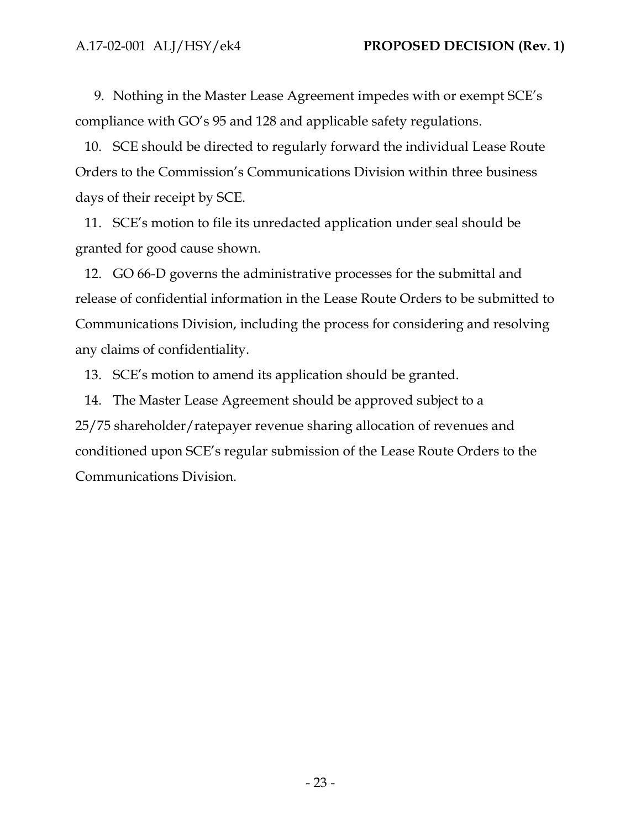9. Nothing in the Master Lease Agreement impedes with or exempt SCE's compliance with GO's 95 and 128 and applicable safety regulations.

10. SCE should be directed to regularly forward the individual Lease Route Orders to the Commission's Communications Division within three business days of their receipt by SCE.

11. SCE's motion to file its unredacted application under seal should be granted for good cause shown.

12. GO 66-D governs the administrative processes for the submittal and release of confidential information in the Lease Route Orders to be submitted to Communications Division, including the process for considering and resolving any claims of confidentiality.

13. SCE's motion to amend its application should be granted.

14. The Master Lease Agreement should be approved subject to a 25/75 shareholder/ratepayer revenue sharing allocation of revenues and conditioned upon SCE's regular submission of the Lease Route Orders to the Communications Division.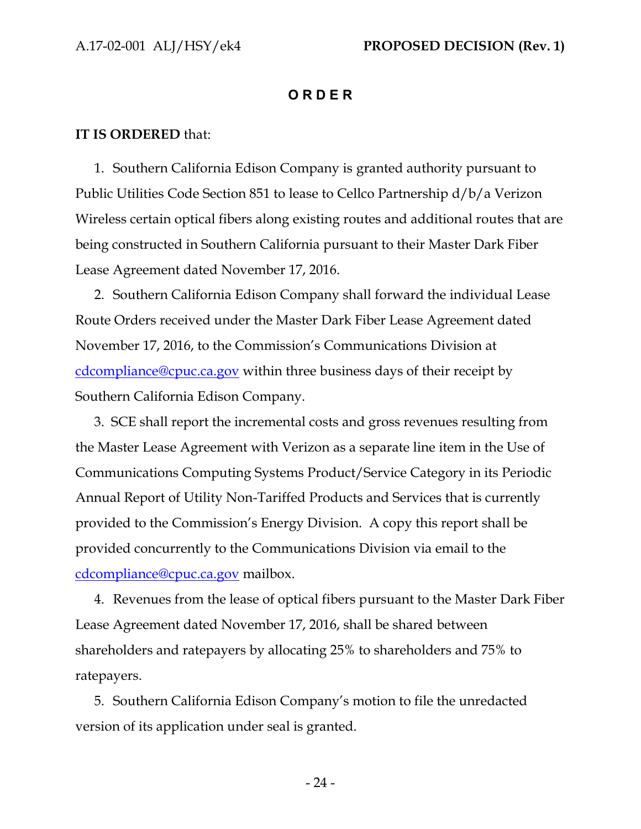#### **O R D E R**

#### <span id="page-25-0"></span>**IT IS ORDERED** that:

1. Southern California Edison Company is granted authority pursuant to Public Utilities Code Section 851 to lease to Cellco Partnership d/b/a Verizon Wireless certain optical fibers along existing routes and additional routes that are being constructed in Southern California pursuant to their Master Dark Fiber Lease Agreement dated November 17, 2016.

2. Southern California Edison Company shall forward the individual Lease Route Orders received under the Master Dark Fiber Lease Agreement dated November 17, 2016, to the Commission's Communications Division at [cdcompliance@cpuc.ca.gov](mailto:cdcompliance@cpuc.ca.gov) within three business days of their receipt by Southern California Edison Company.

3. SCE shall report the incremental costs and gross revenues resulting from the Master Lease Agreement with Verizon as a separate line item in the Use of Communications Computing Systems Product/Service Category in its Periodic Annual Report of Utility Non-Tariffed Products and Services that is currently provided to the Commission's Energy Division. A copy this report shall be provided concurrently to the Communications Division via email to the [cdcompliance@cpuc.ca.gov](mailto:cdcompliance@cpuc.ca.gov) mailbox.

4. Revenues from the lease of optical fibers pursuant to the Master Dark Fiber Lease Agreement dated November 17, 2016, shall be shared between shareholders and ratepayers by allocating 25% to shareholders and 75% to ratepayers.

5. Southern California Edison Company's motion to file the unredacted version of its application under seal is granted.